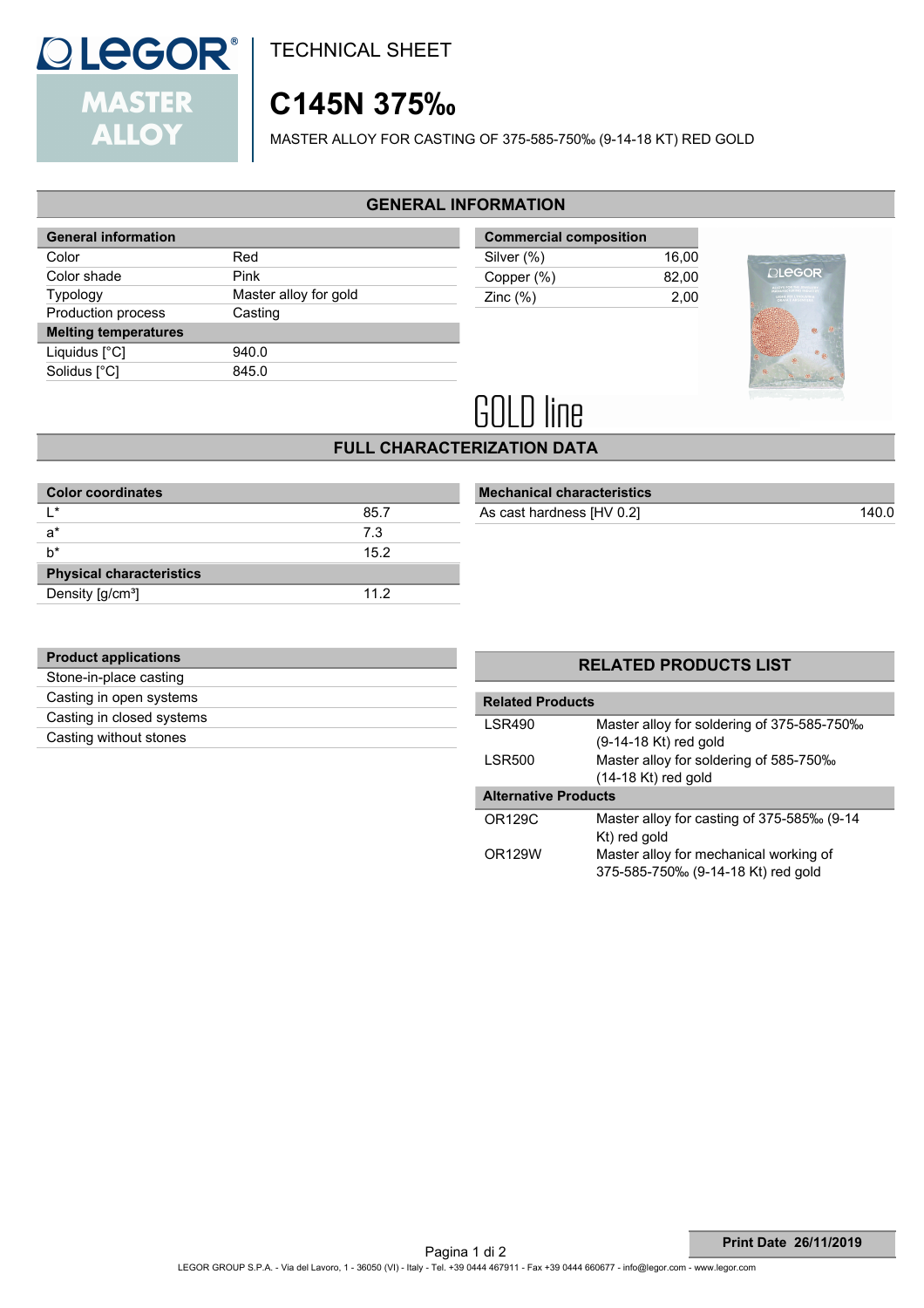

TECHNICAL SHEET

# **C145N 375‰**

MASTER ALLOY FOR CASTING OF 375-585-750‰ (9-14-18 KT) RED GOLD

#### **GENERAL INFORMATION**

| <b>General information</b>  |                       |
|-----------------------------|-----------------------|
| Color                       | Red                   |
| Color shade                 | Pink                  |
| Typology                    | Master alloy for gold |
| <b>Production process</b>   | Casting               |
| <b>Melting temperatures</b> |                       |
| Liquidus $[^{\circ}C]$      | 940.0                 |
| Solidus [°C]                | 845.0                 |
|                             |                       |

| <b>Commercial composition</b> |       |  |
|-------------------------------|-------|--|
| Silver (%)                    | 16.00 |  |
| Copper (%)                    | 82.00 |  |
| Zinc $(\%)$                   | 2.00  |  |



# **GOLD line**

## **FULL CHARACTERIZATION DATA**

| 85.7 |
|------|
| 7.3  |
| 15.2 |
|      |
| 112  |
|      |

| <b>Mechanical characteristics</b> |  |
|-----------------------------------|--|
|                                   |  |

As cast hardness  $[HV 0.2]$ 

| <b>Product applications</b> |  |
|-----------------------------|--|
| Stone-in-place casting      |  |
| Casting in open systems     |  |
| Casting in closed systems   |  |
| Casting without stones      |  |
|                             |  |

#### **RELATED PRODUCTS LIST**

| <b>Related Products</b>     |                                            |  |
|-----------------------------|--------------------------------------------|--|
| <b>LSR490</b>               | Master alloy for soldering of 375-585-750‰ |  |
|                             | (9-14-18 Kt) red gold                      |  |
| <b>LSR500</b>               | Master alloy for soldering of 585-750‰     |  |
|                             | $(14-18$ Kt) red gold                      |  |
| <b>Alternative Products</b> |                                            |  |
| OR129C                      | Master alloy for casting of 375-585‰ (9-14 |  |
|                             | Kt) red gold                               |  |
| OR129W                      | Master alloy for mechanical working of     |  |
|                             | 375-585-750‰ (9-14-18 Kt) red gold         |  |